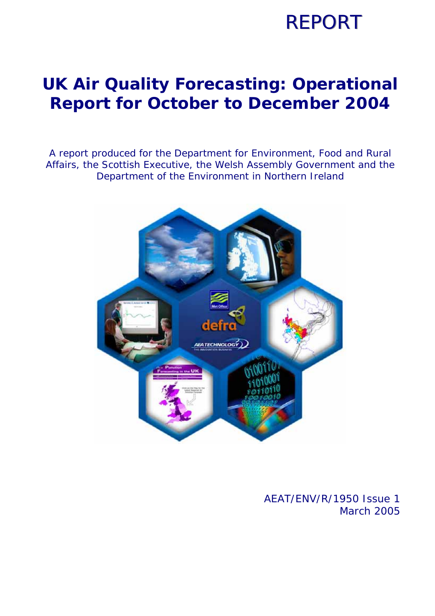## **REPORT**

### **UK Air Quality Forecasting: Operational Report for October to December 2004**

A report produced for the Department for Environment, Food and Rural Affairs, the Scottish Executive, the Welsh Assembly Government and the Department of the Environment in Northern Ireland



### AEAT/ENV/R/1950 Issue 1 March 2005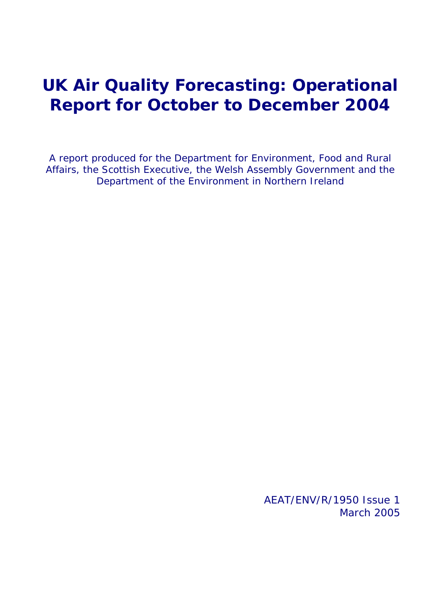### **UK Air Quality Forecasting: Operational Report for October to December 2004**

A report produced for the Department for Environment, Food and Rural Affairs, the Scottish Executive, the Welsh Assembly Government and the Department of the Environment in Northern Ireland

> AEAT/ENV/R/1950 Issue 1 March 2005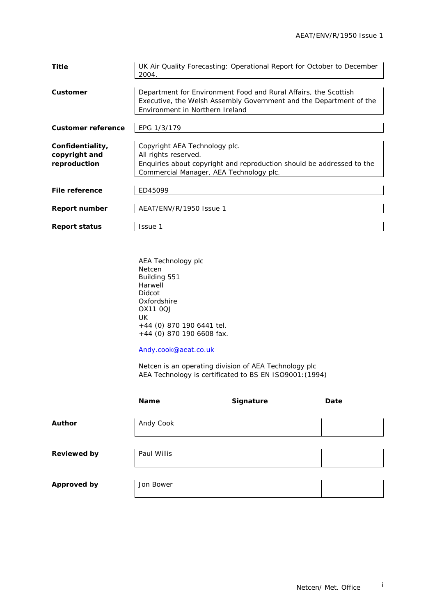| <b>Title</b>              | UK Air Quality Forecasting: Operational Report for October to December<br>2004. |
|---------------------------|---------------------------------------------------------------------------------|
|                           |                                                                                 |
| Customer                  | Department for Environment Food and Rural Affairs, the Scottish                 |
|                           | Executive, the Welsh Assembly Government and the Department of the              |
|                           | Environment in Northern Ireland                                                 |
|                           |                                                                                 |
| <b>Customer reference</b> | EPG 1/3/179                                                                     |
|                           |                                                                                 |
| Confidentiality,          | Copyright AEA Technology plc.                                                   |
| copyright and             | All rights reserved.                                                            |
| reproduction              | Enquiries about copyright and reproduction should be addressed to the           |
|                           | Commercial Manager, AEA Technology plc.                                         |
|                           |                                                                                 |
| File reference            | ED45099                                                                         |
|                           |                                                                                 |
| <b>Report number</b>      | AEAT/ENV/R/1950 Issue 1                                                         |
|                           |                                                                                 |
| <b>Report status</b>      | Issue 1                                                                         |
|                           |                                                                                 |

AEA Technology plc Netcen Building 551 **Harwell** Didcot Oxfordshire OX11 0QJ UK +44 (0) 870 190 6441 tel. +44 (0) 870 190 6608 fax.

Andy.cook@aeat.co.uk

 Netcen is an operating division of AEA Technology plc AEA Technology is certificated to BS EN ISO9001:(1994)

|                    | <b>Name</b> | Signature | Date |
|--------------------|-------------|-----------|------|
| Author             | Andy Cook   |           |      |
| <b>Reviewed by</b> | Paul Willis |           |      |
| <b>Approved by</b> | Jon Bower   |           |      |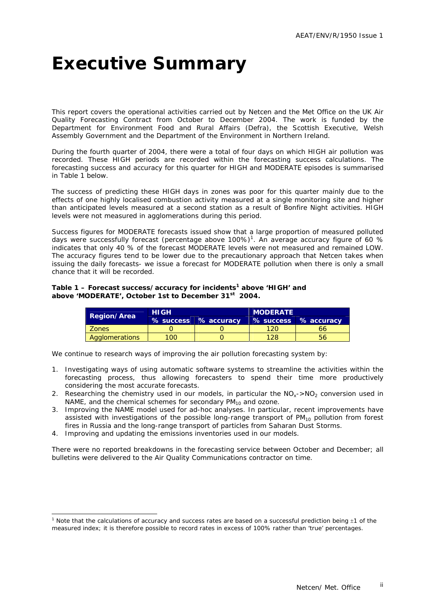### **Executive Summary**

This report covers the operational activities carried out by Netcen and the Met Office on the UK Air Quality Forecasting Contract from October to December 2004. The work is funded by the Department for Environment Food and Rural Affairs (Defra), the Scottish Executive, Welsh Assembly Government and the Department of the Environment in Northern Ireland.

During the fourth quarter of 2004, there were a total of four days on which HIGH air pollution was recorded. These HIGH periods are recorded within the forecasting success calculations. The forecasting success and accuracy for this quarter for HIGH and MODERATE episodes is summarised in Table 1 below.

The success of predicting these HIGH days in zones was poor for this quarter mainly due to the effects of one highly localised combustion activity measured at a single monitoring site and higher than anticipated levels measured at a second station as a result of Bonfire Night activities. HIGH levels were not measured in agglomerations during this period.

Success figures for MODERATE forecasts issued show that a large proportion of measured polluted days were successfully forecast (percentage above 100%)<sup>1</sup>. An average accuracy figure of 60 % indicates that only 40 % of the forecast MODERATE levels were not measured and remained LOW. The accuracy figures tend to be lower due to the precautionary approach that Netcen takes when issuing the daily forecasts- we issue a forecast for MODERATE pollution when there is only a small chance that it will be recorded.

#### Table 1 – Forecast success/accuracy for incidents<sup>1</sup> above 'HIGH' and **above 'MODERATE', October 1st to December 31st 2004.**

|                    | <b>HIGH</b> |                      | <b>MODERATE</b> |                      |  |  |  |
|--------------------|-------------|----------------------|-----------------|----------------------|--|--|--|
| <b>Region/Area</b> |             | % success % accuracy |                 | % success % accuracy |  |  |  |
| <b>Zones</b>       |             |                      | $120 -$         | 66                   |  |  |  |
| Agglomerations     | 100         |                      |                 |                      |  |  |  |

We continue to research ways of improving the air pollution forecasting system by:

- 1. Investigating ways of using automatic software systems to streamline the activities within the forecasting process, thus allowing forecasters to spend their time more productively considering the most accurate forecasts.
- 2. Researching the chemistry used in our models, in particular the  $NO<sub>x</sub>$ ->NO<sub>2</sub> conversion used in NAME, and the chemical schemes for secondary  $PM_{10}$  and ozone.
- 3. Improving the NAME model used for ad-hoc analyses. In particular, recent improvements have assisted with investigations of the possible long-range transport of  $PM_{10}$  pollution from forest fires in Russia and the long-range transport of particles from Saharan Dust Storms.
- 4. Improving and updating the emissions inventories used in our models.

ł

There were no reported breakdowns in the forecasting service between October and December; all bulletins were delivered to the Air Quality Communications contractor on time.

<sup>&</sup>lt;sup>1</sup> Note that the calculations of accuracy and success rates are based on a successful prediction being  $\pm$ 1 of the measured index; it is therefore possible to record rates in excess of 100% rather than 'true' percentages.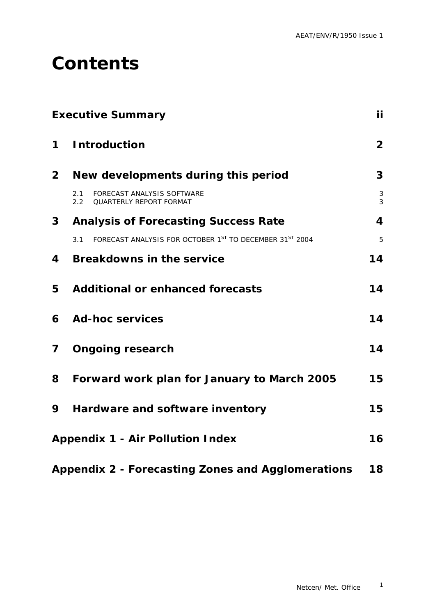### **Contents**

|                | <b>Executive Summary</b>                                                      | İί             |
|----------------|-------------------------------------------------------------------------------|----------------|
| $\mathbf 1$    | <b>Introduction</b>                                                           | $\overline{2}$ |
| 2 <sup>1</sup> | New developments during this period                                           | 3              |
|                | FORECAST ANALYSIS SOFTWARE<br>2.1<br>QUARTERLY REPORT FORMAT<br>$2.2^{\circ}$ | 3<br>3         |
| 3 <sup>1</sup> | <b>Analysis of Forecasting Success Rate</b>                                   | 4              |
|                | FORECAST ANALYSIS FOR OCTOBER 1ST TO DECEMBER 31ST 2004<br>3.1                | 5              |
| 4              | <b>Breakdowns in the service</b>                                              | 14             |
| 5              | <b>Additional or enhanced forecasts</b>                                       | 14             |
| 6              | <b>Ad-hoc services</b>                                                        | 14             |
| 7              | <b>Ongoing research</b>                                                       | 14             |
| 8              | Forward work plan for January to March 2005                                   | 15             |
| 9              | Hardware and software inventory                                               | 15             |
|                | <b>Appendix 1 - Air Pollution Index</b>                                       | 16             |
|                | <b>Appendix 2 - Forecasting Zones and Agglomerations</b>                      | 18             |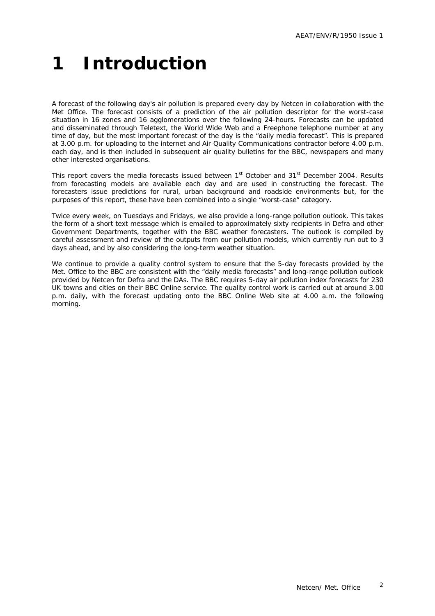## **1 Introduction**

A forecast of the following day's air pollution is prepared every day by Netcen in collaboration with the Met Office. The forecast consists of a prediction of the air pollution descriptor for the worst-case situation in 16 zones and 16 agglomerations over the following 24-hours. Forecasts can be updated and disseminated through Teletext, the World Wide Web and a Freephone telephone number at any time of day, but the most important forecast of the day is the "daily media forecast". This is prepared at 3.00 p.m. for uploading to the internet and Air Quality Communications contractor before 4.00 p.m. each day, and is then included in subsequent air quality bulletins for the BBC, newspapers and many other interested organisations.

This report covers the media forecasts issued between 1st October and 31st December 2004. Results from forecasting models are available each day and are used in constructing the forecast. The forecasters issue predictions for rural, urban background and roadside environments but, for the purposes of this report, these have been combined into a single "worst-case" category.

Twice every week, on Tuesdays and Fridays, we also provide a long-range pollution outlook. This takes the form of a short text message which is emailed to approximately sixty recipients in Defra and other Government Departments, together with the BBC weather forecasters. The outlook is compiled by careful assessment and review of the outputs from our pollution models, which currently run out to 3 days ahead, and by also considering the long-term weather situation.

We continue to provide a quality control system to ensure that the 5-day forecasts provided by the Met. Office to the BBC are consistent with the "daily media forecasts" and long-range pollution outlook provided by Netcen for Defra and the DAs. The BBC requires 5-day air pollution index forecasts for 230 UK towns and cities on their BBC Online service. The quality control work is carried out at around 3.00 p.m. daily, with the forecast updating onto the BBC Online Web site at 4.00 a.m. the following morning.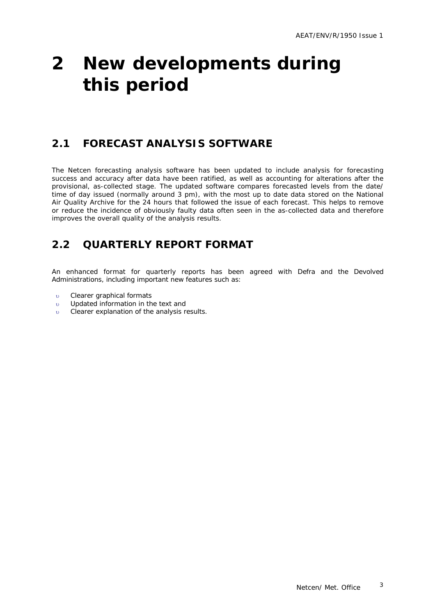### **2 New developments during this period**

### **2.1 FORECAST ANALYSIS SOFTWARE**

The Netcen forecasting analysis software has been updated to include analysis for forecasting success and accuracy after data have been ratified, as well as accounting for alterations after the provisional, as-collected stage. The updated software compares forecasted levels from the date/ time of day issued (normally around 3 pm), with the most up to date data stored on the National Air Quality Archive for the 24 hours that followed the issue of each forecast. This helps to remove or reduce the incidence of obviously faulty data often seen in the as-collected data and therefore improves the overall quality of the analysis results.

### **2.2 QUARTERLY REPORT FORMAT**

An enhanced format for quarterly reports has been agreed with Defra and the Devolved Administrations, including important new features such as:

- υ Clearer graphical formats
- υ Updated information in the text and
- υ Clearer explanation of the analysis results.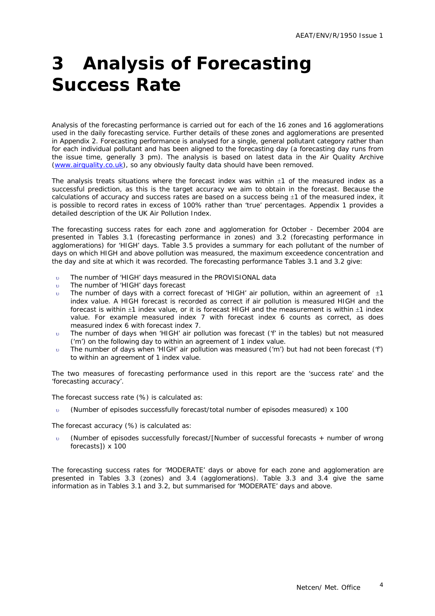## **3 Analysis of Forecasting Success Rate**

Analysis of the forecasting performance is carried out for each of the 16 zones and 16 agglomerations used in the daily forecasting service. Further details of these zones and agglomerations are presented in Appendix 2. Forecasting performance is analysed for a single, general pollutant category rather than for each individual pollutant and has been aligned to the forecasting day (a forecasting day runs from the issue time, generally 3 pm). The analysis is based on latest data in the Air Quality Archive (www.airquality.co.uk), so any obviously faulty data should have been removed.

The analysis treats situations where the forecast index was within  $\pm 1$  of the measured index as a successful prediction, as this is the target accuracy we aim to obtain in the forecast. Because the calculations of accuracy and success rates are based on a success being  $\pm 1$  of the measured index, it is possible to record rates in excess of 100% rather than 'true' percentages. Appendix 1 provides a detailed description of the UK Air Pollution Index.

The forecasting success rates for each zone and agglomeration for October - December 2004 are presented in Tables 3.1 (forecasting performance in zones) and 3.2 (forecasting performance in agglomerations) for 'HIGH' days. Table 3.5 provides a summary for each pollutant of the number of days on which HIGH and above pollution was measured, the maximum exceedence concentration and the day and site at which it was recorded. The forecasting performance Tables 3.1 and 3.2 give:

- The number of 'HIGH' days measured in the PROVISIONAL data
- υ The number of 'HIGH' days forecast
- The number of days with a correct forecast of 'HIGH' air pollution, within an agreement of  $\pm 1$ index value. A HIGH forecast is recorded as correct if air pollution is measured HIGH and the forecast is within  $\pm 1$  index value, or it is forecast HIGH and the measurement is within  $\pm 1$  index value. For example measured index 7 with forecast index 6 counts as correct, as does measured index 6 with forecast index 7.
- υ The number of days when 'HIGH' air pollution was forecast ('f' in the tables) but not measured ('m') on the following day to within an agreement of 1 index value.
- υ The number of days when 'HIGH' air pollution was measured ('m') but had not been forecast ('f') to within an agreement of 1 index value.

The two measures of forecasting performance used in this report are the 'success rate' and the 'forecasting accuracy'.

The forecast success rate (%) is calculated as:

υ (Number of episodes successfully forecast/total number of episodes measured) x 100

The forecast accuracy (%) is calculated as:

υ (Number of episodes successfully forecast/[Number of successful forecasts + number of wrong forecasts]) x 100

The forecasting success rates for 'MODERATE' days or above for each zone and agglomeration are presented in Tables 3.3 (zones) and 3.4 (agglomerations). Table 3.3 and 3.4 give the same information as in Tables 3.1 and 3.2, but summarised for 'MODERATE' days and above.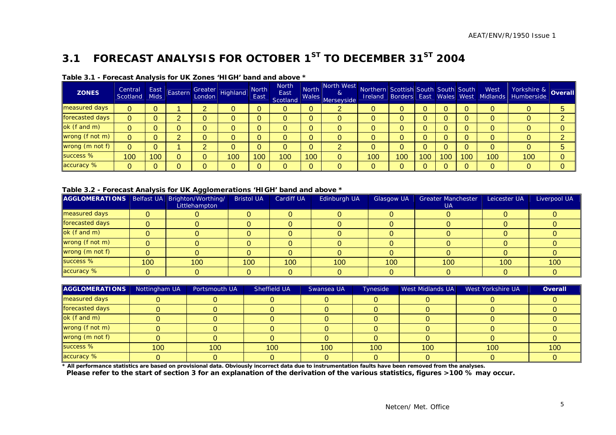### **3.1 FORECAST ANALYSIS FOR OCTOBER 1ST TO DECEMBER 31ST 2004**

| <b>ZONES</b>    | Central<br>Scotland | East<br><b>Mids</b> | Eastern | Greater<br>London Highland | <b>North</b><br>East | <b>North</b><br>East<br>Scotland |     | North North West Northern Scottish South South South West<br>$\alpha$<br>Males Merseyside |     |     |     |     |     | <b>Ireland Borders East Wales West Midlands</b> | Yorkshire & <b>Overall</b> |  |
|-----------------|---------------------|---------------------|---------|----------------------------|----------------------|----------------------------------|-----|-------------------------------------------------------------------------------------------|-----|-----|-----|-----|-----|-------------------------------------------------|----------------------------|--|
| measured days   | 0                   |                     |         |                            |                      | υ                                |     | ∠                                                                                         |     |     |     |     |     |                                                 |                            |  |
| forecasted days | 0                   |                     |         |                            |                      |                                  |     |                                                                                           |     |     |     |     |     |                                                 |                            |  |
| $ok$ (f and m)  |                     |                     |         |                            |                      |                                  |     |                                                                                           |     |     |     |     |     |                                                 |                            |  |
| wrong (f not m) | 0                   |                     |         |                            |                      |                                  |     |                                                                                           |     |     |     |     |     |                                                 |                            |  |
| wrong (m not f) | 0                   |                     |         |                            |                      | 0                                |     | C.                                                                                        |     |     |     |     |     |                                                 | 0                          |  |
| success %       | 100                 | 100                 |         | 100                        | 100                  | 100                              | 100 | 0                                                                                         | 100 | 100 | 100 | 100 | 100 | 100                                             | 100                        |  |
| accuracy %      |                     |                     |         |                            |                      |                                  |     |                                                                                           |     |     |     |     |     |                                                 | 0                          |  |

#### **Table 3.1 - Forecast Analysis for UK Zones 'HIGH' band and above \***

#### **Table 3.2 - Forecast Analysis for UK Agglomerations 'HIGH' band and above \***

| AGGLOMERATIONS   Belfast UA   Brighton/Worthing/ |     | --<br>Littlehampton | <b>Bristol UA</b> | Cardiff UA | Edinburgh UA | Glasgow UA | <b>Greater Manchester</b><br>UA | Leicester UA | Liverpool UA |
|--------------------------------------------------|-----|---------------------|-------------------|------------|--------------|------------|---------------------------------|--------------|--------------|
| measured days                                    |     |                     |                   |            |              |            |                                 |              |              |
| forecasted days                                  |     |                     |                   |            |              |            |                                 |              |              |
| ok (f and m)                                     |     |                     |                   |            |              |            |                                 |              |              |
| wrong (f not m)                                  |     |                     |                   |            |              |            |                                 |              |              |
| wrong (m not f)                                  |     |                     |                   |            |              |            |                                 |              |              |
| success %                                        | 100 | 100                 | 100               | 100        | 100          | 100        | 100                             | 100          | 100          |
| accuracy %                                       |     |                     |                   |            |              |            |                                 |              |              |

| <b>AGGLOMERATIONS</b> | Nottingham UA | Portsmouth UA | Sheffield UA     | Swansea UA | Tyneside | <b>West Midlands UA</b> | West Yorkshire UA | Overall |
|-----------------------|---------------|---------------|------------------|------------|----------|-------------------------|-------------------|---------|
| measured days         |               |               |                  |            |          |                         |                   |         |
| forecasted days       |               |               |                  |            |          |                         |                   |         |
| ok (f and m)          |               |               |                  |            |          |                         |                   |         |
| wrong (f not m)       |               |               |                  |            |          |                         |                   |         |
| wrong (m not f)       |               |               |                  |            |          |                         |                   |         |
| success %             | 100           | 100           | 100 <sub>1</sub> | 100        | 100      | 100                     | 100               | 100     |
| accuracy %            |               |               |                  |            |          |                         |                   |         |

**\* All performance statistics are based on provisional data. Obviously incorrect data due to instrumentation faults have been removed from the analyses.** 

 **Please refer to the start of section 3 for an explanation of the derivation of the various statistics, figures >100 % may occur.**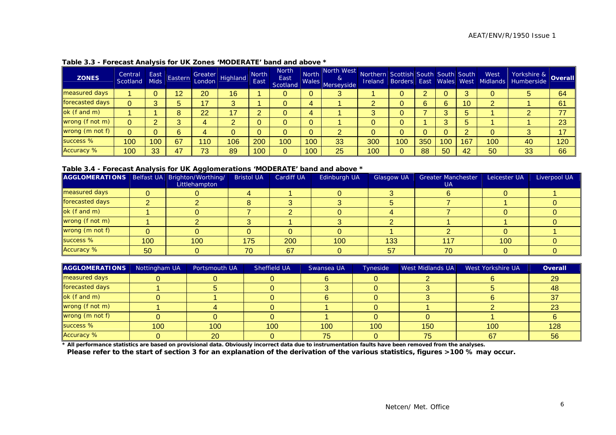| <b>ZONES</b>      | Central $\ $<br>Scotland   Mids | East | Eastern |     | Greater<br>London Highland | <b>North</b><br>East | <b>North</b><br>East<br>Scotland | North<br>Wales. | $\parallel$ North West $\parallel$<br>&<br>Merseyside | Northern Scottish South South South |     |     |     |     |     | Northern Scottish South South South West Yorkshire & Overall<br> Ireland Borders East Wales West Midlands Humberside Overall |     |
|-------------------|---------------------------------|------|---------|-----|----------------------------|----------------------|----------------------------------|-----------------|-------------------------------------------------------|-------------------------------------|-----|-----|-----|-----|-----|------------------------------------------------------------------------------------------------------------------------------|-----|
| measured days     |                                 |      | 12      | 20  | 16                         |                      | 0                                | $\mathbf{0}$    |                                                       |                                     |     |     |     |     |     |                                                                                                                              | 64  |
| forecasted days   |                                 |      |         | 17  |                            |                      | $\mathbf 0$                      | 4               |                                                       |                                     |     | 6   | 6   | 10  |     |                                                                                                                              | 61  |
| ok (f and m)      |                                 |      | Ω       | 22  | 17                         |                      | $\mathbf 0$                      | 4               |                                                       |                                     |     |     |     |     |     |                                                                                                                              | 77  |
| wrong (f not m)   | $\Omega$                        |      |         | 4   |                            |                      | 0                                | $\mathbf{0}$    |                                                       |                                     |     |     |     |     |     |                                                                                                                              | 23  |
| wrong (m not f)   |                                 |      |         |     |                            |                      | 0                                | $\mathbf{0}$    |                                                       |                                     |     |     |     |     |     |                                                                                                                              | 17  |
| success %         | 100                             | 100  | 67      | 110 | 106                        | 200                  | 100                              | 100             | 33                                                    | 300                                 | 100 | 350 | 100 | 167 | 100 | 40                                                                                                                           | 120 |
| <b>Accuracy %</b> | 100                             | 33   | 47      | 73  | 89                         | 100                  | 0                                | 100             | 25                                                    | 100                                 |     | 88  | 50  | 42  | 50  | 33                                                                                                                           | 66  |

#### **Table 3.3 - Forecast Analysis for UK Zones 'MODERATE' band and above \***

#### **Table 3.4 - Forecast Analysis for UK Agglomerations 'MODERATE' band and above \***

| AGGLOMERATIONS   Belfast UA   Brighton/Worthing/ |     |               | <b>Bristol UA</b> | <b>Cardiff UA</b> | Edinburgh UA | <b>Glasgow UA</b> | <b>Greater Manchester</b> | Leicester UA | Liverpool UA |
|--------------------------------------------------|-----|---------------|-------------------|-------------------|--------------|-------------------|---------------------------|--------------|--------------|
|                                                  |     | Littlehampton |                   |                   |              |                   | UA.                       |              |              |
| measured days                                    |     |               |                   |                   |              |                   |                           |              |              |
| forecasted days                                  |     |               |                   |                   |              |                   |                           |              |              |
| ok (f and m)                                     |     |               |                   |                   |              |                   |                           |              |              |
| wrong (f not m)                                  |     |               |                   |                   |              |                   |                           |              |              |
| wrong (m not f)                                  |     |               |                   |                   |              |                   |                           |              |              |
| success %                                        | 100 | 100           | 175               | 200               | 100          | 133               | 117                       | 100          |              |
| <b>Accuracy %</b>                                | 50  |               | 70                | 67                |              | 57                | 70                        |              |              |

| <b>AGGLOMERATIONS</b> | Nottingham UA | Portsmouth UA | Sheffield UA | Swansea UA | Tyneside | West Midlands UA | West Yorkshire UA | Overall |
|-----------------------|---------------|---------------|--------------|------------|----------|------------------|-------------------|---------|
| measured days         |               |               |              |            |          |                  |                   | 29      |
| forecasted days       |               |               |              |            |          |                  |                   | 48      |
| ok (f and m)          |               |               |              |            |          |                  |                   | 37      |
| wrong (f not m)       |               |               |              |            |          |                  |                   | 23      |
| wrong (m not f)       |               |               |              |            |          |                  |                   |         |
| success %             | 100           | 100           | 100          | 100        | 100      | 150              | 100               | 128     |
| <b>Accuracy %</b>     |               | 20            |              | 75         |          | 75               | 67                | 56      |

**\* All performance statistics are based on provisional data. Obviously incorrect data due to instrumentation faults have been removed from the analyses.** 

**Please refer to the start of section 3 for an explanation of the derivation of the various statistics, figures >100 % may occur.**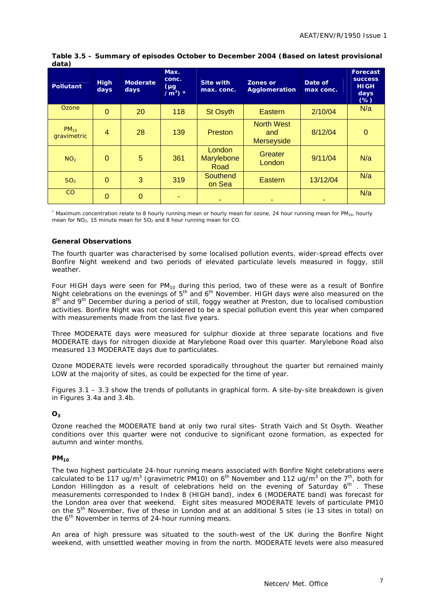| <b>Pollutant</b>         | <b>High</b><br>days | <b>Moderate</b><br>days | Max.<br>conc.<br>$(\mu g)$<br>$/m^3$ ) * | <b>Site with</b><br>max. conc. | Zones or<br>Agglomeration                     | Date of<br>max conc. | <b>Forecast</b><br><b>SUCCESS</b><br><b>HIGH</b><br>days<br>$(\%)$ |
|--------------------------|---------------------|-------------------------|------------------------------------------|--------------------------------|-----------------------------------------------|----------------------|--------------------------------------------------------------------|
| Ozone                    | $\Omega$            | 20                      | 118                                      | <b>St Osyth</b>                | Eastern                                       | 2/10/04              | N/a                                                                |
| $PM_{10}$<br>gravimetric | $\overline{4}$      | 28                      | 139                                      | Preston                        | <b>North West</b><br>and<br><b>Merseyside</b> | 8/12/04              | $\mathbf 0$                                                        |
| NO <sub>2</sub>          | $\Omega$            | 5                       | 361                                      | London<br>Marylebone<br>Road   | <b>Greater</b><br>London                      | 9/11/04              | N/a                                                                |
| SO <sub>2</sub>          | $\Omega$            | 3                       | 319                                      | Southend<br>on Sea             | Eastern                                       | 13/12/04             | N/a                                                                |
| CO                       | $\Omega$            | $\mathbf 0$             |                                          |                                |                                               |                      | N/a                                                                |

#### **Table 3.5 – Summary of episodes October to December 2004 (Based on latest provisional data)**

\* Maximum concentration relate to 8 hourly running mean or hourly mean for ozone, 24 hour running mean for PM<sub>10</sub>, hourly mean for NO<sub>2</sub>, 15 minute mean for SO<sub>2</sub> and 8 hour running mean for CO.

#### **General Observations**

The fourth quarter was characterised by some localised pollution events, wider-spread effects over Bonfire Night weekend and two periods of elevated particulate levels measured in foggy, still weather.

Four HIGH days were seen for  $PM_{10}$  during this period, two of these were as a result of Bonfire Night celebrations on the evenings of  $5<sup>th</sup>$  and  $6<sup>th</sup>$  November. HIGH days were also measured on the 8<sup>th</sup> and 9<sup>th</sup> December during a period of still, foggy weather at Preston, due to localised combustion activities. Bonfire Night was not considered to be a special pollution event this year when compared with measurements made from the last five years.

Three MODERATE days were measured for sulphur dioxide at three separate locations and five MODERATE days for nitrogen dioxide at Marylebone Road over this quarter. Marylebone Road also measured 13 MODERATE days due to particulates.

Ozone MODERATE levels were recorded sporadically throughout the quarter but remained mainly LOW at the majority of sites, as could be expected for the time of year.

Figures 3.1 – 3.3 show the trends of pollutants in graphical form. A site-by-site breakdown is given in Figures 3.4a and 3.4b.

#### **O3**

Ozone reached the MODERATE band at only two rural sites- Strath Vaich and St Osyth. Weather conditions over this quarter were not conducive to significant ozone formation, as expected for autumn and winter months.

#### **PM10**

The two highest particulate 24-hour running means associated with Bonfire Night celebrations were calculated to be 117 ug/m<sup>3</sup> (gravimetric PM10) on 6<sup>th</sup> November and 112 ug/m<sup>3</sup> on the 7<sup>th</sup>, both for London Hillingdon as a result of celebrations held on the evening of Saturday  $6<sup>th</sup>$ . These measurements corresponded to Index 8 (HIGH band), index 6 (MODERATE band) was forecast for the London area over that weekend. Eight sites measured MODERATE levels of particulate PM10 on the 5<sup>th</sup> November, five of these in London and at an additional 5 sites (ie 13 sites in total) on the  $6<sup>th</sup>$  November in terms of 24-hour running means.

An area of high pressure was situated to the south-west of the UK during the Bonfire Night weekend, with unsettled weather moving in from the north. MODERATE levels were also measured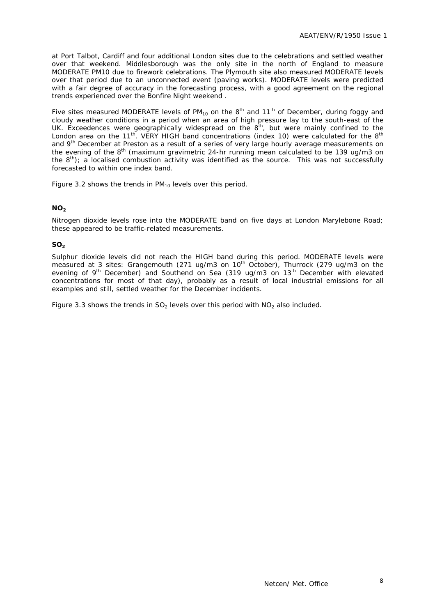at Port Talbot, Cardiff and four additional London sites due to the celebrations and settled weather over that weekend. Middlesborough was the only site in the north of England to measure MODERATE PM10 due to firework celebrations. The Plymouth site also measured MODERATE levels over that period due to an unconnected event (paving works). MODERATE levels were predicted with a fair degree of accuracy in the forecasting process, with a good agreement on the regional trends experienced over the Bonfire Night weekend .

Five sites measured MODERATE levels of  $PM_{10}$  on the  $8<sup>th</sup>$  and  $11<sup>th</sup>$  of December, during foggy and cloudy weather conditions in a period when an area of high pressure lay to the south-east of the UK. Exceedences were geographically widespread on the  $8<sup>th</sup>$ , but were mainly confined to the London area on the 11<sup>th</sup>. VERY HIGH band concentrations (index 10) were calculated for the 8<sup>th</sup> and 9<sup>th</sup> December at Preston as a result of a series of very large hourly average measurements on the evening of the 8<sup>th</sup> (maximum gravimetric 24-hr running mean calculated to be 139 ug/m3 on the  $8<sup>th</sup>$ ; a localised combustion activity was identified as the source. This was not successfully forecasted to within one index band.

Figure 3.2 shows the trends in  $PM_{10}$  levels over this period.

#### **NO<sub>2</sub>**

Nitrogen dioxide levels rose into the MODERATE band on five days at London Marylebone Road; these appeared to be traffic-related measurements.

#### **SO<sub>2</sub>**

Sulphur dioxide levels did not reach the HIGH band during this period. MODERATE levels were measured at 3 sites: Grangemouth (271 ug/m3 on  $10<sup>th</sup>$  October), Thurrock (279 ug/m3 on the evening of 9<sup>th</sup> December) and Southend on Sea (319 ug/m3 on  $13<sup>th</sup>$  December with elevated concentrations for most of that day), probably as a result of local industrial emissions for all examples and still, settled weather for the December incidents.

Figure 3.3 shows the trends in  $SO<sub>2</sub>$  levels over this period with  $NO<sub>2</sub>$  also included.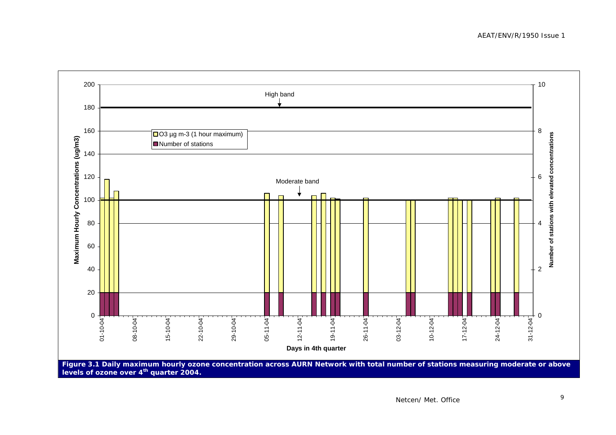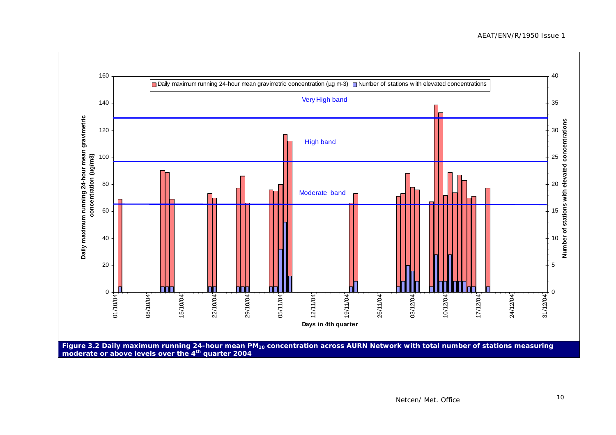

**moderate or above levels over the 4th quarter 2004**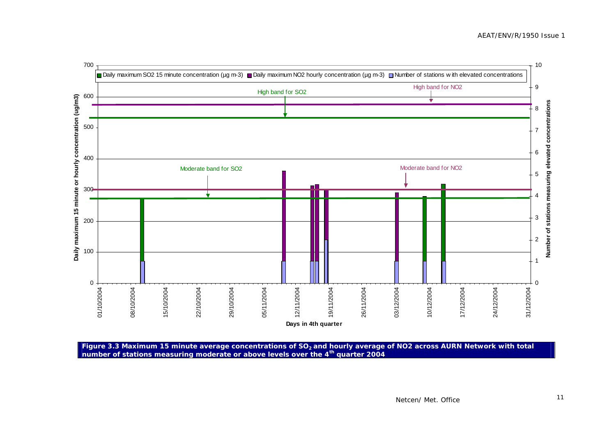

Figure 3.3 Maximum 15 minute average concentrations of SO<sub>2</sub> and hourly average of NO2 across AURN Network with total **number of stations measuring moderate or above levels over the 4th quarter 2004**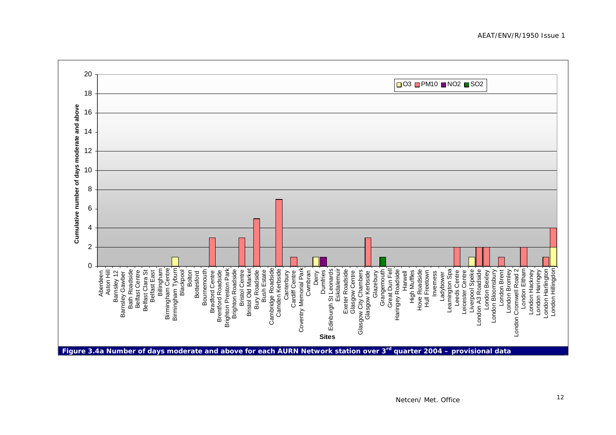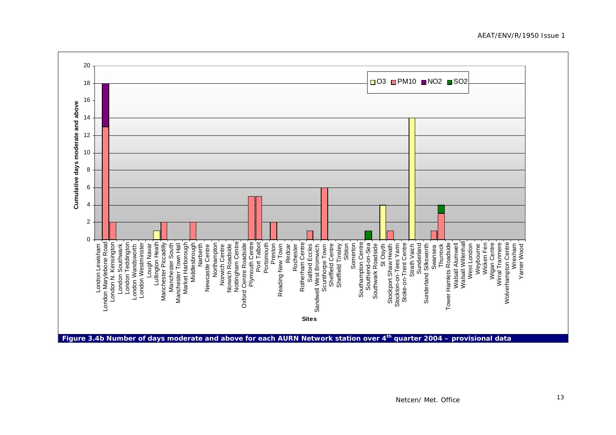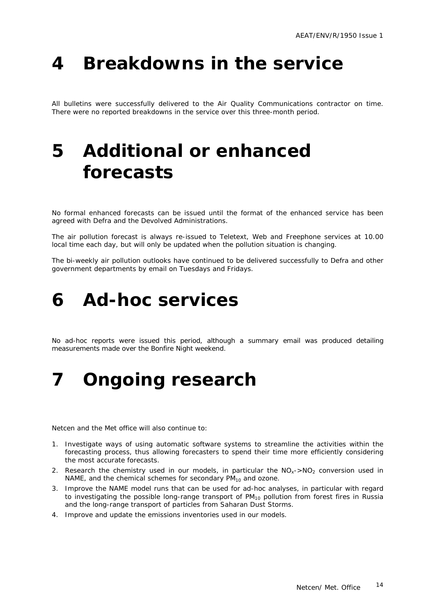## **4 Breakdowns in the service**

All bulletins were successfully delivered to the Air Quality Communications contractor on time. There were no reported breakdowns in the service over this three-month period.

### **5 Additional or enhanced forecasts**

No formal enhanced forecasts can be issued until the format of the enhanced service has been agreed with Defra and the Devolved Administrations.

The air pollution forecast is always re-issued to Teletext, Web and Freephone services at 10.00 local time each day, but will only be updated when the pollution situation is changing.

The bi-weekly air pollution outlooks have continued to be delivered successfully to Defra and other government departments by email on Tuesdays and Fridays.

### **6 Ad-hoc services**

No ad-hoc reports were issued this period, although a summary email was produced detailing measurements made over the Bonfire Night weekend.

### **7 Ongoing research**

Netcen and the Met office will also continue to:

- 1. Investigate ways of using automatic software systems to streamline the activities within the forecasting process, thus allowing forecasters to spend their time more efficiently considering the most accurate forecasts.
- 2. Research the chemistry used in our models, in particular the  $NO<sub>x</sub>$ -NO<sub>2</sub> conversion used in NAME, and the chemical schemes for secondary  $PM_{10}$  and ozone.
- 3. Improve the NAME model runs that can be used for ad-hoc analyses, in particular with regard to investigating the possible long-range transport of PM<sub>10</sub> pollution from forest fires in Russia and the long-range transport of particles from Saharan Dust Storms.
- 4. Improve and update the emissions inventories used in our models.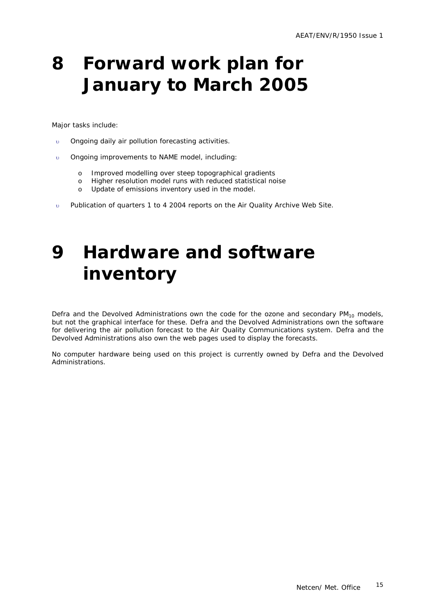## **8 Forward work plan for January to March 2005**

Major tasks include:

- υ Ongoing daily air pollution forecasting activities.
- υ Ongoing improvements to NAME model, including:
	- o Improved modelling over steep topographical gradients
	- o Higher resolution model runs with reduced statistical noise
	- o Update of emissions inventory used in the model.
- υ Publication of quarters 1 to 4 2004 reports on the Air Quality Archive Web Site.

## **9 Hardware and software inventory**

Defra and the Devolved Administrations own the code for the ozone and secondary  $PM_{10}$  models, but not the graphical interface for these. Defra and the Devolved Administrations own the software for delivering the air pollution forecast to the Air Quality Communications system. Defra and the Devolved Administrations also own the web pages used to display the forecasts.

No computer hardware being used on this project is currently owned by Defra and the Devolved Administrations.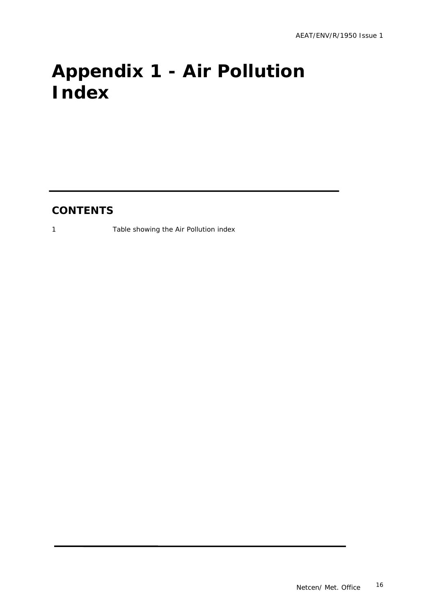# **Appendix 1 - Air Pollution Index**

### **CONTENTS**

1 Table showing the Air Pollution index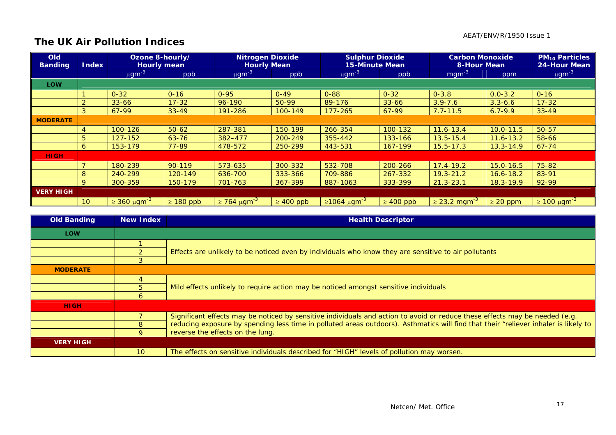#### AEAT/ENV/R/1950 Issue 1

### **The UK Air Pollution Indices**

| Old<br><b>Banding</b> | <b>Index</b>    | Ozone 8-hourly/<br><b>Hourly mean</b> |                | <b>Nitrogen Dioxide</b><br><b>Hourly Mean</b> |                | <b>Sulphur Dioxide</b><br><b>15-Minute Mean</b> |                | <b>Carbon Monoxide</b><br>8-Hour Mean | <b>PM<sub>10</sub> Particles</b><br>24-Hour Mean |                         |
|-----------------------|-----------------|---------------------------------------|----------------|-----------------------------------------------|----------------|-------------------------------------------------|----------------|---------------------------------------|--------------------------------------------------|-------------------------|
|                       |                 | $\mu$ gm <sup>-3</sup>                | ppb            | $\mu$ gm <sup>-3</sup>                        | ppb            | $\mu$ gm <sup>-3</sup>                          | ppb            | $mgm^{-3}$                            | ppm                                              | $\mu$ gm <sup>-3</sup>  |
| <b>LOW</b>            |                 |                                       |                |                                               |                |                                                 |                |                                       |                                                  |                         |
|                       |                 | $0 - 32$                              | $0 - 16$       | $0 - 95$                                      | $0 - 49$       | $0 - 88$                                        | $0 - 32$       | $0 - 3.8$                             | $0.0 - 3.2$                                      | $0 - 16$                |
|                       |                 | $33 - 66$                             | $17 - 32$      | 96-190                                        | 50-99          | 89-176                                          | $33 - 66$      | $3.9 - 7.6$                           | $3.3 - 6.6$                                      | $17 - 32$               |
|                       | 3               | 67-99                                 | $33 - 49$      | 191-286                                       | 100-149        | $177 - 265$                                     | 67-99          | $7.7 - 11.5$                          | $6.7 - 9.9$                                      | $33 - 49$               |
| <b>MODERATE</b>       |                 |                                       |                |                                               |                |                                                 |                |                                       |                                                  |                         |
|                       | 4               | 100-126                               | $50 - 62$      | 287-381                                       | 150-199        | 266-354                                         | 100-132        | $11.6 - 13.4$                         | $10.0 - 11.5$                                    | 50-57                   |
|                       | 5               | 127-152                               | $63 - 76$      | 382-477                                       | 200-249        | 355-442                                         | 133-166        | $13.5 - 15.4$                         | $11.6 - 13.2$                                    | 58-66                   |
|                       | 6               | 153-179                               | 77-89          | 478-572                                       | 250-299        | 443-531                                         | 167-199        | $15.5 - 17.3$                         | $13.3 - 14.9$                                    | $67 - 74$               |
| <b>HIGH</b>           |                 |                                       |                |                                               |                |                                                 |                |                                       |                                                  |                         |
|                       |                 | 180-239                               | $90 - 119$     | 573-635                                       | 300-332        | 532-708                                         | 200-266        | $17.4 - 19.2$                         | $15.0 - 16.5$                                    | 75-82                   |
|                       | 8               | 240-299                               | 120-149        | 636-700                                       | 333-366        | 709-886                                         | 267-332        | $19.3 - 21.2$                         | $16.6 - 18.2$                                    | 83-91                   |
|                       | $\mathsf Q$     | 300-359                               | 150-179        | 701-763                                       | 367-399        | 887-1063                                        | 333-399        | $21.3 - 23.1$                         | $18.3 - 19.9$                                    | 92-99                   |
| <b>VERY HIGH</b>      |                 |                                       |                |                                               |                |                                                 |                |                                       |                                                  |                         |
|                       | 10 <sup>°</sup> | $\geq$ 360 µgm <sup>-3</sup>          | $\geq 180$ ppb | $\geq$ 764 μgm <sup>-3</sup>                  | $\geq 400$ ppb | $\geq 1064$ µgm <sup>-3</sup>                   | $\geq 400$ ppb | $\geq$ 23.2 mgm <sup>-3</sup>         | $\geq$ 20 ppm                                    | $\geq 100 \mu g m^{-3}$ |

| <b>Old Banding</b> | <b>New Index</b> | <b>Health Descriptor</b>                                                                                                            |  |
|--------------------|------------------|-------------------------------------------------------------------------------------------------------------------------------------|--|
| <b>LOW</b>         |                  |                                                                                                                                     |  |
|                    |                  | Effects are unlikely to be noticed even by individuals who know they are sensitive to air pollutants                                |  |
|                    |                  |                                                                                                                                     |  |
|                    |                  |                                                                                                                                     |  |
| <b>MODERATE</b>    |                  |                                                                                                                                     |  |
|                    |                  | Mild effects unlikely to require action may be noticed amongst sensitive individuals                                                |  |
|                    | 5.               |                                                                                                                                     |  |
|                    | 6                |                                                                                                                                     |  |
| <b>HIGH</b>        |                  |                                                                                                                                     |  |
|                    |                  | Significant effects may be noticed by sensitive individuals and action to avoid or reduce these effects may be needed (e.g.         |  |
|                    | 8                | reducing exposure by spending less time in polluted areas outdoors). Asthmatics will find that their "reliever inhaler is likely to |  |
|                    | 9                | reverse the effects on the lung.                                                                                                    |  |
| <b>VERY HIGH</b>   |                  |                                                                                                                                     |  |
|                    | 10 <sup>°</sup>  | The effects on sensitive individuals described for "HIGH" levels of pollution may worsen.                                           |  |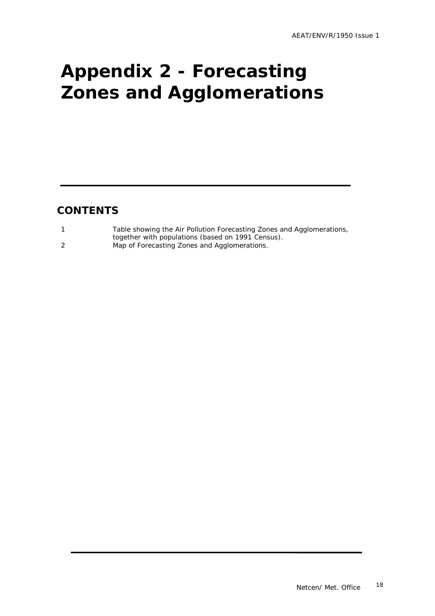# **Appendix 2 - Forecasting Zones and Agglomerations**

### **CONTENTS**

| Table showing the Air Pollution Forecasting Zones and Agglomerations, |
|-----------------------------------------------------------------------|
| together with populations (based on 1991 Census).                     |
| Map of Forecasting Zones and Agglomerations.                          |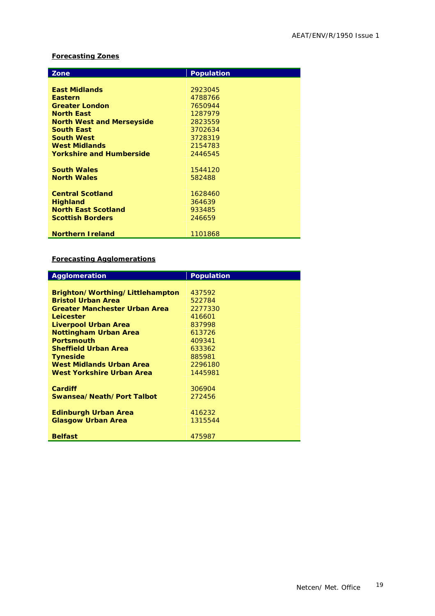#### **Forecasting Zones**

| Zone                             | <b>Population</b> |
|----------------------------------|-------------------|
|                                  |                   |
| <b>East Midlands</b>             | 2923045           |
| <b>Eastern</b>                   | 4788766           |
| <b>Greater London</b>            | 7650944           |
| <b>North East</b>                | 1287979           |
| <b>North West and Merseyside</b> | 2823559           |
| <b>South East</b>                | 3702634           |
| <b>South West</b>                | 3728319           |
| <b>West Midlands</b>             | 2154783           |
| <b>Yorkshire and Humberside</b>  | 2446545           |
|                                  |                   |
| <b>South Wales</b>               | 1544120           |
| <b>North Wales</b>               | 582488            |
|                                  |                   |
| <b>Central Scotland</b>          | 1628460           |
| <b>Highland</b>                  | 364639            |
| <b>North East Scotland</b>       | 933485            |
| <b>Scottish Borders</b>          | 246659            |
|                                  |                   |
| <b>Northern Ireland</b>          | 1101868           |

#### **Forecasting Agglomerations**

| <b>Agglomeration</b>                 | <b>Population</b> |
|--------------------------------------|-------------------|
|                                      |                   |
| Brighton/Worthing/Littlehampton      | 437592            |
| <b>Bristol Urban Area</b>            | 522784            |
| <b>Greater Manchester Urban Area</b> | 2277330           |
| Leicester                            | 416601            |
| Liverpool Urban Area                 | 837998            |
| <b>Nottingham Urban Area</b>         | 613726            |
| <b>Portsmouth</b>                    | 409341            |
| <b>Sheffield Urban Area</b>          | 633362            |
| <b>Tyneside</b>                      | 885981            |
| West Midlands Urban Area             | 2296180           |
| West Yorkshire Urban Area            | 1445981           |
|                                      |                   |
| <b>Cardiff</b>                       | 306904            |
| Swansea/Neath/Port Talbot            | 272456            |
|                                      |                   |
| <b>Edinburgh Urban Area</b>          | 416232            |
| <b>Glasgow Urban Area</b>            | 1315544           |
|                                      |                   |
| <b>Belfast</b>                       | 475987            |